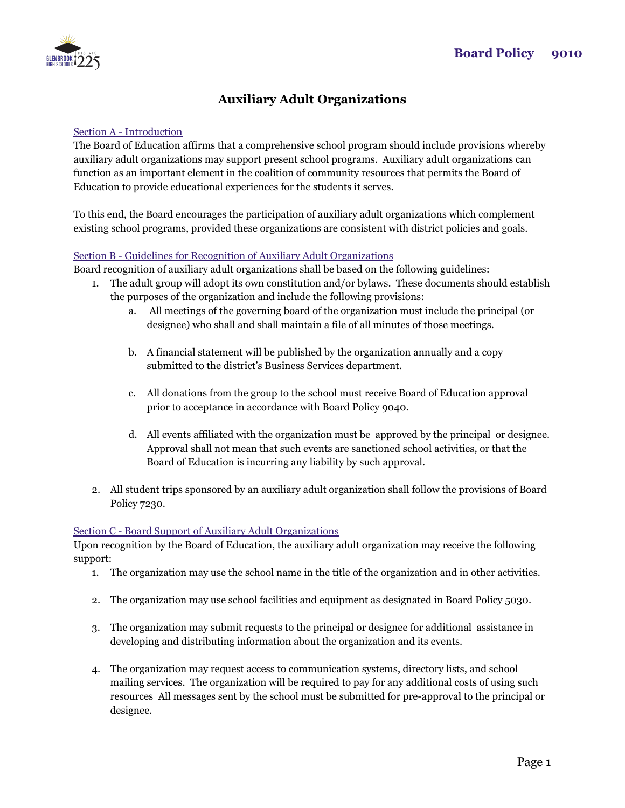

# **Auxiliary Adult Organizations**

## Section A - Introduction

The Board of Education affirms that a comprehensive school program should include provisions whereby auxiliary adult organizations may support present school programs. Auxiliary adult organizations can function as an important element in the coalition of community resources that permits the Board of Education to provide educational experiences for the students it serves.

To this end, the Board encourages the participation of auxiliary adult organizations which complement existing school programs, provided these organizations are consistent with district policies and goals.

### Section B - Guidelines for Recognition of Auxiliary Adult Organizations

Board recognition of auxiliary adult organizations shall be based on the following guidelines:

- 1. The adult group will adopt its own constitution and/or bylaws. These documents should establish the purposes of the organization and include the following provisions:
	- a. All meetings of the governing board of the organization must include the principal (or designee) who shall and shall maintain a file of all minutes of those meetings.
	- b. A financial statement will be published by the organization annually and a copy submitted to the district's Business Services department.
	- c. All donations from the group to the school must receive Board of Education approval prior to acceptance in accordance with Board Policy 9040.
	- d. All events affiliated with the organization must be approved by the principal or designee. Approval shall not mean that such events are sanctioned school activities, or that the Board of Education is incurring any liability by such approval.
- 2. All student trips sponsored by an auxiliary adult organization shall follow the provisions of Board Policy 7230.

## Section C - Board Support of Auxiliary Adult Organizations

Upon recognition by the Board of Education, the auxiliary adult organization may receive the following support:

- 1. The organization may use the school name in the title of the organization and in other activities.
- 2. The organization may use school facilities and equipment as designated in Board Policy 5030.
- 3. The organization may submit requests to the principal or designee for additional assistance in developing and distributing information about the organization and its events.
- 4. The organization may request access to communication systems, directory lists, and school mailing services. The organization will be required to pay for any additional costs of using such resources All messages sent by the school must be submitted for pre-approval to the principal or designee.